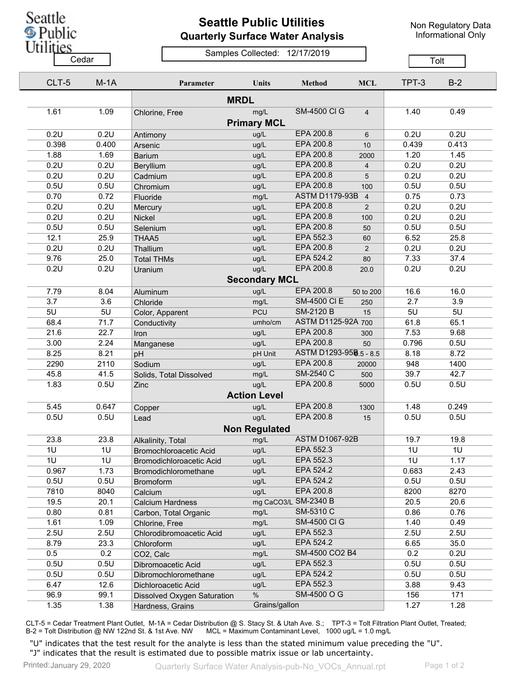

## **Seattle Public Utilities Quarterly Surface Water Analysis**

Non Regulatory Data Informational Only

## Samples Collected: 12/17/2019 Cedar **Cedar** Center Compression Contract Contract Contract Contract Contract Contract Contract Contract Contract Contract Contract Contract Contract Contract Contract Contract Contract Contract Contract Contract Contract

| CLT-5 | $M-1A$ | Parameter                     | <b>Units</b>         | <b>Method</b>          | <b>MCL</b>              | TPT-3       | $B-2$ |
|-------|--------|-------------------------------|----------------------|------------------------|-------------------------|-------------|-------|
|       |        |                               |                      |                        |                         |             |       |
| 1.61  | 1.09   | <b>MRDL</b><br>Chlorine, Free | mg/L                 | <b>SM-4500 CI G</b>    | $\overline{4}$          | 1.40        | 0.49  |
|       |        |                               | <b>Primary MCL</b>   |                        |                         |             |       |
| 0.2U  | 0.2U   | Antimony                      | ug/L                 | EPA 200.8              | 6                       | 0.2U        | 0.2U  |
| 0.398 | 0.400  | Arsenic                       | ug/L                 | EPA 200.8              | 10                      | 0.439       | 0.413 |
| 1.88  | 1.69   | <b>Barium</b>                 | ug/L                 | EPA 200.8              | 2000                    | 1.20        | 1.45  |
| 0.2U  | 0.2U   | <b>Beryllium</b>              | ug/L                 | EPA 200.8              | $\overline{\mathbf{4}}$ | 0.2U        | 0.2U  |
| 0.2U  | 0.2U   | Cadmium                       | ug/L                 | EPA 200.8              | 5                       | 0.2U        | 0.2U  |
| 0.5U  | 0.5U   | Chromium                      | ug/L                 | EPA 200.8              | 100                     | 0.5U        | 0.5U  |
| 0.70  | 0.72   | Fluoride                      | mg/L                 | <b>ASTM D1179-93B</b>  | $\overline{4}$          | 0.75        | 0.73  |
| 0.2U  | 0.2U   | Mercury                       | ug/L                 | EPA 200.8              | 2                       | 0.2U        | 0.2U  |
| 0.2U  | 0.2U   | Nickel                        | ug/L                 | EPA 200.8              | 100                     | 0.2U        | 0.2U  |
| 0.5U  | 0.5U   | Selenium                      | ug/L                 | <b>EPA 200.8</b>       | 50                      | 0.5U        | 0.5U  |
| 12.1  | 25.9   | THAA5                         | ug/L                 | EPA 552.3              | 60                      | 6.52        | 25.8  |
| 0.2U  | 0.2U   | Thallium                      | ug/L                 | EPA 200.8              | 2                       | 0.2U        | 0.2U  |
| 9.76  | 25.0   | <b>Total THMs</b>             | ug/L                 | EPA 524.2              | 80                      | 7.33        | 37.4  |
| 0.2U  | 0.2U   | Uranium                       | ug/L                 | EPA 200.8              | 20.0                    | 0.2U        | 0.2U  |
|       |        |                               | <b>Secondary MCL</b> |                        |                         |             |       |
| 7.79  | 8.04   |                               | ug/L                 | EPA 200.8              | 50 to 200               | 16.6        | 16.0  |
| 3.7   | 3.6    | Aluminum                      | mg/L                 | <b>SM-4500 CI E</b>    | 250                     | 2.7         | 3.9   |
| 5U    | 5U     | Chloride                      | <b>PCU</b>           | <b>SM-2120 B</b>       | 15                      | 5U          | 5U    |
|       | 71.7   | Color, Apparent               |                      | ASTM D1125-92A 700     |                         | 61.8        |       |
| 68.4  | 22.7   | Conductivity                  | umho/cm              | EPA 200.8              |                         | 7.53        | 65.1  |
| 21.6  | 2.24   | Iron                          | ug/L                 | EPA 200.8              | 300                     |             | 9.68  |
| 3.00  | 8.21   | Manganese                     | ug/L                 | ASTM D1293-958.5 - 8.5 | 50                      | 0.796       | 0.5U  |
| 8.25  |        | pH                            | pH Unit              | EPA 200.8              |                         | 8.18<br>948 | 8.72  |
| 2290  | 2110   | Sodium                        | ug/L                 | SM-2540 C              | 20000                   | 39.7        | 1400  |
| 45.8  | 41.5   | Solids, Total Dissolved       | mg/L                 | EPA 200.8              | 500                     |             | 42.7  |
| 1.83  | 0.5U   | Zinc                          | ug/L                 |                        | 5000                    | 0.5U        | 0.5U  |
|       |        |                               | <b>Action Level</b>  |                        |                         |             |       |
| 5.45  | 0.647  | Copper                        | ug/L                 | EPA 200.8              | 1300                    | 1.48        | 0.249 |
| 0.5U  | 0.5U   | Lead                          | ug/L                 | EPA 200.8              | 15                      | 0.5U        | 0.5U  |
|       |        |                               | <b>Non Regulated</b> |                        |                         |             |       |
| 23.8  | 23.8   | Alkalinity, Total             | mg/L                 | <b>ASTM D1067-92B</b>  |                         | 19.7        | 19.8  |
| 1U    | 1U     | Bromochloroacetic Acid        | ug/L                 | EPA 552.3              |                         | 1U          | 1U    |
| 1U    | 1U     | Bromodichloroacetic Acid      | ug/L                 | EPA 552.3              |                         | 1U          | 1.17  |
| 0.967 | 1.73   | Bromodichloromethane          | ug/L                 | EPA 524.2              |                         | 0.683       | 2.43  |
| 0.5U  | 0.5U   | <b>Bromoform</b>              | ug/L                 | EPA 524.2              |                         | 0.5U        | 0.5U  |
| 7810  | 8040   | Calcium                       | ug/L                 | EPA 200.8              |                         | 8200        | 8270  |
| 19.5  | 20.1   | <b>Calcium Hardness</b>       |                      | mg CaCO3/L SM-2340 B   |                         | 20.5        | 20.6  |
| 0.80  | 0.81   | Carbon, Total Organic         | mg/L                 | SM-5310 C              |                         | 0.86        | 0.76  |
| 1.61  | 1.09   | Chlorine, Free                | mg/L                 | <b>SM-4500 CI G</b>    |                         | 1.40        | 0.49  |
| 2.5U  | 2.5U   | Chlorodibromoacetic Acid      | ug/L                 | EPA 552.3              |                         | 2.5U        | 2.5U  |
| 8.79  | 23.3   | Chloroform                    | ug/L                 | EPA 524.2              |                         | 6.65        | 35.0  |
| 0.5   | 0.2    | CO2, Calc                     | mg/L                 | SM-4500 CO2 B4         |                         | 0.2         | 0.2U  |
| 0.5U  | 0.5U   | Dibromoacetic Acid            | ug/L                 | EPA 552.3              |                         | 0.5U        | 0.5U  |
| 0.5U  | 0.5U   | Dibromochloromethane          | ug/L                 | EPA 524.2              |                         | 0.5U        | 0.5U  |
| 6.47  | 12.6   | Dichloroacetic Acid           | ug/L                 | EPA 552.3              |                         | 3.88        | 9.43  |
| 96.9  | 99.1   | Dissolved Oxygen Saturation   | $\%$                 | SM-4500 O G            |                         | 156         | 171   |
| 1.35  | 1.38   | Hardness, Grains              | Grains/gallon        |                        |                         | 1.27        | 1.28  |

CLT-5 = Cedar Treatment Plant Outlet, M-1A = Cedar Distribution @ S. Stacy St. & Utah Ave. S.; TPT-3 = Tolt Filtration Plant Outlet, Treated; B-2 = Tolt Distribution @ NW 122nd St. & 1st Ave. NW MCL = Maximum Contaminant Level, 1000 ug/L = 1.0 mg/L

"U" indicates that the test result for the analyte is less than the stated minimum value preceding the "U". "J" indicates that the result is estimated due to possible matrix issue or lab uncertainty.